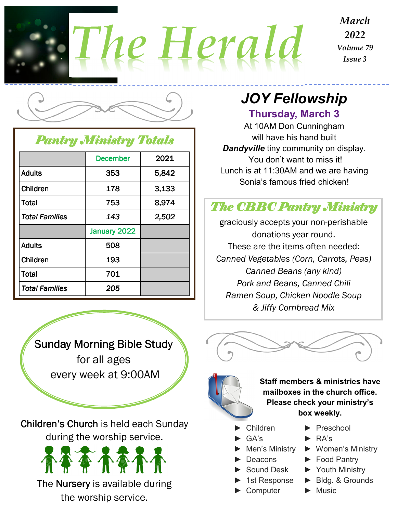# The Herald

March 2022 Volume 79 Issue 3



# Pantry Ministry Totals

| <b>December</b> | 2021  |
|-----------------|-------|
| 353             | 5,842 |
| 178             | 3,133 |
| 753             | 8,974 |
| 143             | 2,502 |
| January 2022    |       |
| 508             |       |
| 193             |       |
| 701             |       |
| 205             |       |
|                 |       |



Children's Church is held each Sunday during the worship service.



The Nursery is available during the worship service.

# JOY Fellowship

### Thursday, March 3

At 10AM Don Cunningham will have his hand built **Dandyville** tiny community on display. You don't want to miss it! Lunch is at 11:30AM and we are having Sonia's famous fried chicken!



graciously accepts your non-perishable donations year round. These are the items often needed: Canned Vegetables (Corn, Carrots, Peas) Canned Beans (any kind) Pork and Beans, Canned Chili Ramen Soup, Chicken Noodle Soup & Jiffy Cornbread Mix





Staff members & ministries have mailboxes in the church office. Please check your ministry's box weekly.

- -
- 
- 
- 
- 
- ► Computer ► Music
- ► Children ► Preschool
- $GA's \rightarrow RA's$
- Men's Ministry ▶ Women's Ministry
- Deacons ► Food Pantry
- ► Sound Desk ► Youth Ministry
- 1st Response ▶ Bldg. & Grounds
	-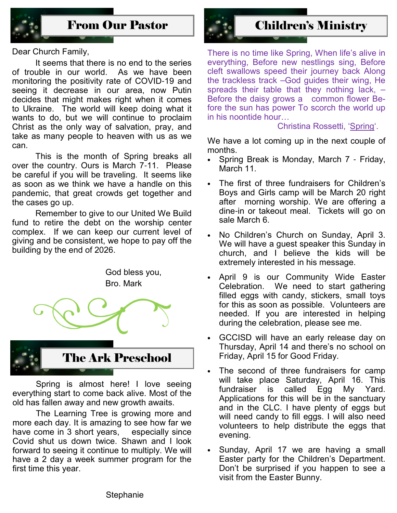

# From Our Pastor

Dear Church Family,

It seems that there is no end to the series of trouble in our world. As we have been monitoring the positivity rate of COVID-19 and seeing it decrease in our area, now Putin decides that might makes right when it comes to Ukraine. The world will keep doing what it wants to do, but we will continue to proclaim Christ as the only way of salvation, pray, and take as many people to heaven with us as we can.

This is the month of Spring breaks all over the country. Ours is March 7-11. Please be careful if you will be traveling. It seems like as soon as we think we have a handle on this pandemic, that great crowds get together and the cases go up.

Remember to give to our United We Build fund to retire the debt on the worship center complex. If we can keep our current level of giving and be consistent, we hope to pay off the building by the end of 2026.



Spring is almost here! I love seeing everything start to come back alive. Most of the old has fallen away and new growth awaits.

The Learning Tree is growing more and more each day. It is amazing to see how far we<br>have come in 3 short vears. especially since have come in  $3$  short years. Covid shut us down twice. Shawn and I look forward to seeing it continue to multiply. We will have a 2 day a week summer program for the first time this year.



# Children's Ministry

There is no time like Spring, When life's alive in everything, Before new nestlings sing, Before cleft swallows speed their journey back Along the trackless track –God guides their wing, He spreads their table that they nothing lack, – Before the daisy grows a common flower Before the sun has power To scorch the world up in his noontide hour…

Christina Rossetti, 'Spring'.

We have a lot coming up in the next couple of months.

- Spring Break is Monday, March 7 Friday, March 11.
- The first of three fundraisers for Children's Boys and Girls camp will be March 20 right after morning worship. We are offering a dine-in or takeout meal. Tickets will go on sale March 6.
- No Children's Church on Sunday, April 3. We will have a guest speaker this Sunday in church, and I believe the kids will be extremely interested in his message.
- April 9 is our Community Wide Easter Celebration. We need to start gathering filled eggs with candy, stickers, small toys for this as soon as possible. Volunteers are needed. If you are interested in helping during the celebration, please see me.
- GCCISD will have an early release day on Thursday, April 14 and there's no school on Friday, April 15 for Good Friday.
- The second of three fundraisers for camp will take place Saturday, April 16. This fundraiser is called Egg My Yard. Applications for this will be in the sanctuary and in the CLC. I have plenty of eggs but will need candy to fill eggs. I will also need volunteers to help distribute the eggs that evening.
- Sunday, April 17 we are having a small Easter party for the Children's Department. Don't be surprised if you happen to see a visit from the Easter Bunny.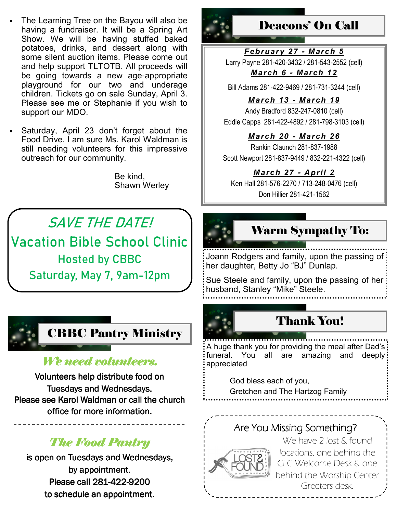- The Learning Tree on the Bayou will also be having a fundraiser. It will be a Spring Art Show. We will be having stuffed baked potatoes, drinks, and dessert along with some silent auction items. Please come out and help support TLTOTB. All proceeds will be going towards a new age-appropriate playground for our two and underage children. Tickets go on sale Sunday, April 3. Please see me or Stephanie if you wish to support our MDO.
- Saturday, April 23 don't forget about the Food Drive. I am sure Ms. Karol Waldman is still needing volunteers for this impressive outreach for our community.

Be kind, Shawn Werley

# SAVE THE DATE! Vacation Bible School Clinic Hosted by CBBC Saturday, May 7, 9am-12pm



# We need volunteers.

Volunteers help distribute food on Tuesdays and Wednesdays. Please see Karol Waldman or call the church office for more information.

# The Food Pantry

1

is open on Tuesdays and Wednesdays, by appointment. Please call 281-422-9200 to schedule an appointment.

# Deacons' On Call

February 27 **-** March 5 Larry Payne 281-420-3432 / 281-543-2552 (cell) March 6 **-** March 12

Bill Adams 281-422-9469 / 281-731-3244 (cell)

#### March 13 **-** March 19

Andy Bradford 832-247-0810 (cell) Eddie Capps 281-422-4892 / 281-798-3103 (cell)

#### March 20 **-** March 26

Rankin Claunch 281-837-1988 Scott Newport 281-837-9449 / 832-221-4322 (cell)

#### March 27 **-** April 2

Ken Hall 281-576-2270 / 713-248-0476 (cell) Don Hillier 281-421-1562



# Warm Sympathy To:

Joann Rodgers and family, upon the passing of her daughter, Betty Jo "BJ" Dunlap.

Sue Steele and family, upon the passing of her husband, Stanley "Mike" Steele.

Thank You!

A huge thank you for providing the meal after Dad's funeral. You all are amazing and deeply appreciated

God bless each of you, Gretchen and The Hartzog Family

## Are You Missing Something?



We have 2 lost & found locations, one behind the CLC Welcome Desk & one behind the Worship Center Greeters desk.